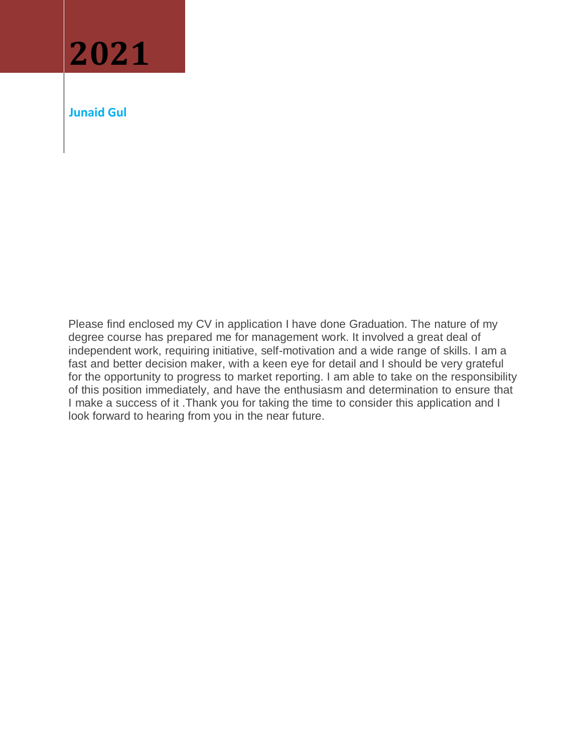

**Junaid Gul**

Please find enclosed my CV in application I have done Graduation. The nature of my degree course has prepared me for management work. It involved a great deal of independent work, requiring initiative, self-motivation and a wide range of skills. I am a fast and better decision maker, with a keen eye for detail and I should be very grateful for the opportunity to progress to market reporting. I am able to take on the responsibility of this position immediately, and have the enthusiasm and determination to ensure that I make a success of it .Thank you for taking the time to consider this application and I look forward to hearing from you in the near future.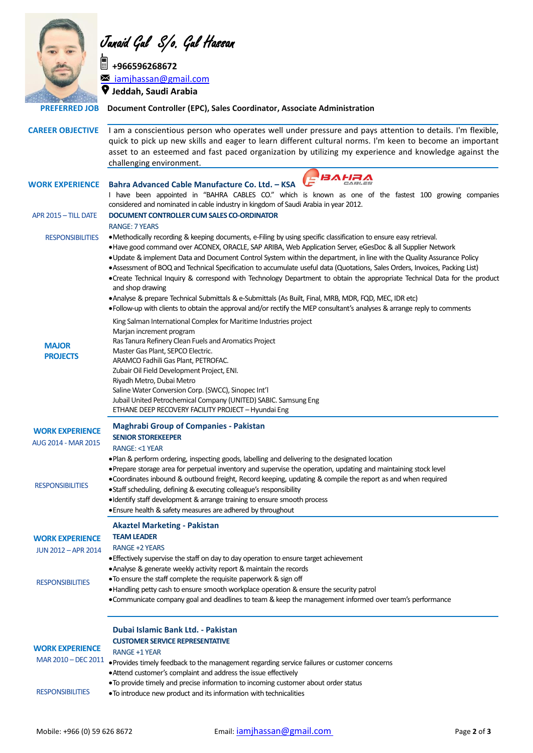

Junaid Gul S/o. Gul Hassan

**<u> +966596268672</u> iamjhassan@gmail.com**<br>■ iamjhassan@gmail.com **Jeddah, Saudi Arabia**

 **PREFERRED JOB Document Controller (EPC), Sales Coordinator, Associate Administration**

|                                               | <b>CAREER OBJECTIVE</b> I am a conscientious person who operates well under pressure and pays attention to details. I'm flexible,<br>quick to pick up new skills and eager to learn different cultural norms. I'm keen to become an important<br>asset to an esteemed and fast paced organization by utilizing my experience and knowledge against the<br>challenging environment.                                                                                                                                                                                                                                                                                                                                                                                                                                                                                                 |
|-----------------------------------------------|------------------------------------------------------------------------------------------------------------------------------------------------------------------------------------------------------------------------------------------------------------------------------------------------------------------------------------------------------------------------------------------------------------------------------------------------------------------------------------------------------------------------------------------------------------------------------------------------------------------------------------------------------------------------------------------------------------------------------------------------------------------------------------------------------------------------------------------------------------------------------------|
| <b>WORK EXPERIENCE</b>                        | <b>BAHRA</b><br>Bahra Advanced Cable Manufacture Co. Ltd. - KSA<br>I have been appointed in "BAHRA CABLES CO." which is known as one of the fastest 100 growing companies<br>considered and nominated in cable industry in kingdom of Saudi Arabia in year 2012.                                                                                                                                                                                                                                                                                                                                                                                                                                                                                                                                                                                                                   |
| APR 2015 - TILL DATE                          | DOCUMENT CONTROLLER CUM SALES CO-ORDINATOR<br><b>RANGE: 7 YEARS</b>                                                                                                                                                                                                                                                                                                                                                                                                                                                                                                                                                                                                                                                                                                                                                                                                                |
| <b>RESPONSIBILITIES</b>                       | • Methodically recording & keeping documents, e-Filing by using specific classification to ensure easy retrieval.<br>. Have good command over ACONEX, ORACLE, SAP ARIBA, Web Application Server, eGesDoc & all Supplier Network<br>. Update & implement Data and Document Control System within the department, in line with the Quality Assurance Policy<br>. Assessment of BOQ and Technical Specification to accumulate useful data (Quotations, Sales Orders, Invoices, Packing List)<br>. Create Technical Inquiry & correspond with Technology Department to obtain the appropriate Technical Data for the product<br>and shop drawing<br>. Analyse & prepare Technical Submittals & e-Submittals (As Built, Final, MRB, MDR, FQD, MEC, IDR etc)<br>. Follow-up with clients to obtain the approval and/or rectify the MEP consultant's analyses & arrange reply to comments |
| <b>MAJOR</b><br><b>PROJECTS</b>               | King Salman International Complex for Maritime Industries project<br>Marjan increment program<br>Ras Tanura Refinery Clean Fuels and Aromatics Project<br>Master Gas Plant, SEPCO Electric.<br>ARAMCO Fadhili Gas Plant, PETROFAC.<br>Zubair Oil Field Development Project, ENI.<br>Riyadh Metro, Dubai Metro<br>Saline Water Conversion Corp. (SWCC), Sinopec Int'l<br>Jubail United Petrochemical Company (UNITED) SABIC. Samsung Eng<br>ETHANE DEEP RECOVERY FACILITY PROJECT - Hyundai Eng                                                                                                                                                                                                                                                                                                                                                                                     |
| <b>WORK EXPERIENCE</b><br>AUG 2014 - MAR 2015 | <b>Maghrabi Group of Companies - Pakistan</b><br><b>SENIOR STOREKEEPER</b><br><b>RANGE: &lt;1 YEAR</b>                                                                                                                                                                                                                                                                                                                                                                                                                                                                                                                                                                                                                                                                                                                                                                             |
| <b>RESPONSIBILITIES</b>                       | . Plan & perform ordering, inspecting goods, labelling and delivering to the designated location<br>• Prepare storage area for perpetual inventory and supervise the operation, updating and maintaining stock level<br>. Coordinates inbound & outbound freight, Record keeping, updating & compile the report as and when required<br>· Staff scheduling, defining & executing colleague's responsibility<br>• Identify staff development & arrange training to ensure smooth process<br>. Ensure health & safety measures are adhered by throughout                                                                                                                                                                                                                                                                                                                             |
| <b>WORK EXPERIENCE</b><br>JUN 2012 - APR 2014 | <b>Akaztel Marketing - Pakistan</b><br><b>TEAM LEADER</b><br><b>RANGE +2 YEARS</b><br>• Effectively supervise the staff on day to day operation to ensure target achievement<br>• Analyse & generate weekly activity report & maintain the records                                                                                                                                                                                                                                                                                                                                                                                                                                                                                                                                                                                                                                 |
| <b>RESPONSIBILITIES</b>                       | . To ensure the staff complete the requisite paperwork & sign off<br>• Handling petty cash to ensure smooth workplace operation & ensure the security patrol<br>. Communicate company goal and deadlines to team & keep the management informed over team's performance                                                                                                                                                                                                                                                                                                                                                                                                                                                                                                                                                                                                            |
| <b>WORK EXPERIENCE</b><br>MAR 2010 - DEC 2011 | Dubai Islamic Bank Ltd. - Pakistan<br><b>CUSTOMER SERVICE REPRESENTATIVE</b><br><b>RANGE +1 YEAR</b><br>. Provides timely feedback to the management regarding service failures or customer concerns<br>. Attend customer's complaint and address the issue effectively                                                                                                                                                                                                                                                                                                                                                                                                                                                                                                                                                                                                            |
| <b>RESPONSIBILITIES</b>                       | . To provide timely and precise information to incoming customer about order status<br>. To introduce new product and its information with technicalities                                                                                                                                                                                                                                                                                                                                                                                                                                                                                                                                                                                                                                                                                                                          |